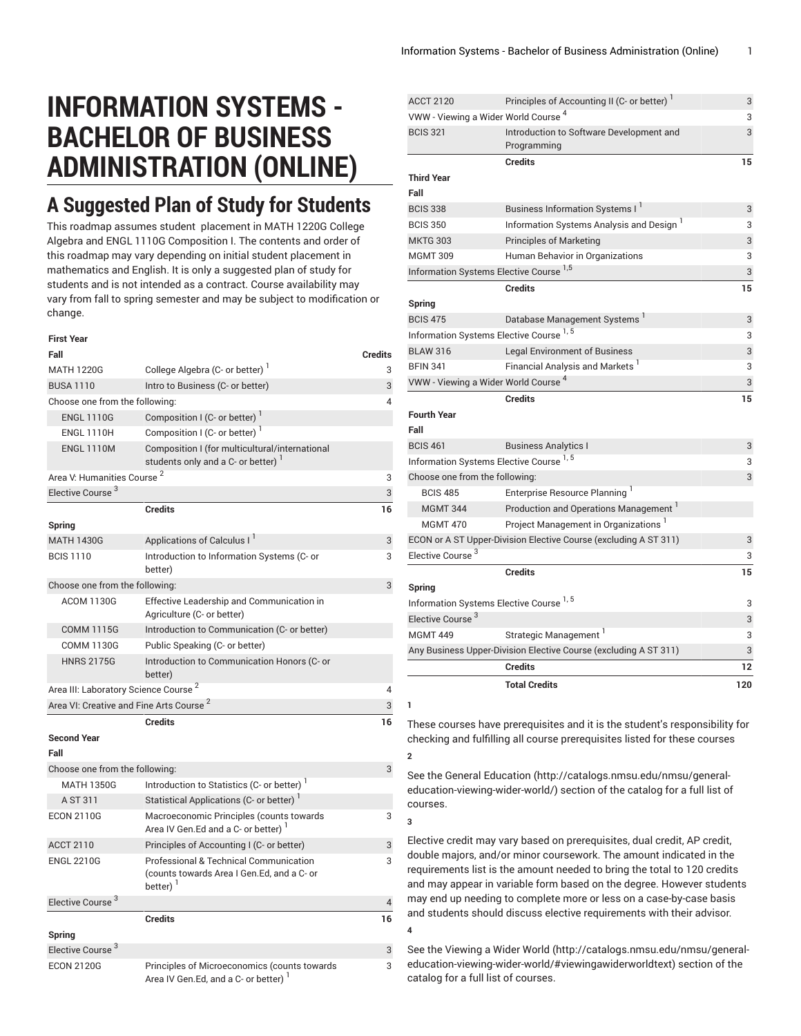## **INFORMATION SYSTEMS - BACHELOR OF BUSINESS ADMINISTRATION (ONLINE)**

## **A Suggested Plan of Study for Students**

This roadmap assumes student placement in MATH 1220G College Algebra and ENGL 1110G Composition I. The contents and order of this roadmap may vary depending on initial student placement in mathematics and English. It is only a suggested plan of study for students and is not intended as a contract. Course availability may vary from fall to spring semester and may be subject to modification or change.

**First Year**

| rırsı rear                                          |                                                                                                                |                |
|-----------------------------------------------------|----------------------------------------------------------------------------------------------------------------|----------------|
| Fall                                                |                                                                                                                | <b>Credits</b> |
| <b>MATH 1220G</b>                                   | College Algebra (C- or better)                                                                                 | 3              |
| <b>BUSA 1110</b>                                    | Intro to Business (C- or better)                                                                               | 3              |
| Choose one from the following:                      |                                                                                                                | 4              |
| <b>ENGL 1110G</b>                                   | Composition I (C- or better)                                                                                   |                |
| <b>ENGL 1110H</b>                                   | Composition I (C- or better) <sup>1</sup>                                                                      |                |
| <b>ENGL 1110M</b>                                   | Composition I (for multicultural/international<br>students only and a C- or better) <sup>1</sup>               |                |
| Area V: Humanities Course <sup>2</sup>              |                                                                                                                | 3              |
| Elective Course <sup>3</sup>                        |                                                                                                                | 3              |
|                                                     | <b>Credits</b>                                                                                                 | 16             |
| <b>Spring</b>                                       |                                                                                                                |                |
| <b>MATH 1430G</b>                                   | Applications of Calculus I <sup>I</sup>                                                                        | 3              |
| <b>BCIS 1110</b>                                    | Introduction to Information Systems (C- or<br>better)                                                          | 3              |
| Choose one from the following:                      |                                                                                                                | 3              |
| <b>ACOM 1130G</b>                                   | Effective Leadership and Communication in<br>Agriculture (C- or better)                                        |                |
| <b>COMM 1115G</b>                                   | Introduction to Communication (C- or better)                                                                   |                |
| <b>COMM 1130G</b>                                   | Public Speaking (C- or better)                                                                                 |                |
| <b>HNRS 2175G</b>                                   | Introduction to Communication Honors (C- or<br>better)                                                         |                |
| Area III: Laboratory Science Course <sup>2</sup>    |                                                                                                                | 4              |
| Area VI: Creative and Fine Arts Course <sup>2</sup> |                                                                                                                | 3              |
|                                                     | <b>Credits</b>                                                                                                 | 16             |
| <b>Second Year</b>                                  |                                                                                                                |                |
| Fall                                                |                                                                                                                |                |
| Choose one from the following:                      |                                                                                                                | 3              |
| <b>MATH 1350G</b>                                   | Introduction to Statistics (C- or better) <sup>1</sup>                                                         |                |
| A ST 311                                            | Statistical Applications (C- or better) <sup>1</sup>                                                           |                |
| <b>ECON 2110G</b>                                   | Macroeconomic Principles (counts towards<br>Area IV Gen.Ed and a C- or better)                                 | 3              |
| <b>ACCT 2110</b>                                    | Principles of Accounting I (C- or better)                                                                      | 3              |
| <b>ENGL 2210G</b>                                   | Professional & Technical Communication<br>(counts towards Area I Gen.Ed, and a C- or<br>$better)$ <sup>1</sup> | 3              |
| Elective Course <sup>3</sup>                        |                                                                                                                | 4              |
| Spring                                              | <b>Credits</b>                                                                                                 | 16             |
| Elective Course <sup>3</sup>                        |                                                                                                                | 3              |
| <b>ECON 2120G</b>                                   | Principles of Microeconomics (counts towards                                                                   | 3              |
|                                                     | Area IV Gen.Ed, and a C- or better)                                                                            |                |

| <b>ACCT 2120</b>                                   | Principles of Accounting II (C- or better) <sup>1</sup>          | 3  |
|----------------------------------------------------|------------------------------------------------------------------|----|
| VWW - Viewing a Wider World Course <sup>4</sup>    |                                                                  | 3  |
| <b>BCIS 321</b>                                    | Introduction to Software Development and<br>Programming          | 3  |
|                                                    | <b>Credits</b>                                                   | 15 |
| <b>Third Year</b>                                  |                                                                  |    |
| Fall                                               |                                                                  |    |
| <b>BCIS 338</b>                                    | Business Information Systems I <sup>1</sup>                      | 3  |
| <b>BCIS 350</b>                                    | Information Systems Analysis and Design <sup>1</sup>             | 3  |
| <b>MKTG 303</b>                                    | <b>Principles of Marketing</b>                                   | 3  |
| <b>MGMT 309</b>                                    | Human Behavior in Organizations                                  | 3  |
|                                                    | Information Systems Elective Course <sup>1,5</sup>               | 3  |
|                                                    | <b>Credits</b>                                                   | 15 |
| Spring                                             |                                                                  |    |
| <b>BCIS 475</b>                                    | Database Management Systems                                      | 3  |
|                                                    | Information Systems Elective Course 1, 5                         | 3  |
| <b>BLAW 316</b>                                    | <b>Legal Environment of Business</b>                             | 3  |
| <b>BFIN 341</b>                                    | Financial Analysis and Markets <sup>1</sup>                      | 3  |
| VWW - Viewing a Wider World Course <sup>4</sup>    |                                                                  | 3  |
|                                                    | <b>Credits</b>                                                   | 15 |
| <b>Fourth Year</b>                                 |                                                                  |    |
| Fall                                               |                                                                  |    |
| <b>BCIS 461</b>                                    | <b>Business Analytics I</b>                                      | 3  |
| Information Systems Elective Course <sup>1,5</sup> |                                                                  |    |
|                                                    |                                                                  | 3  |
| Choose one from the following:                     |                                                                  | 3  |
| <b>BCIS 485</b>                                    | Enterprise Resource Planning <sup>1</sup>                        |    |
| <b>MGMT 344</b>                                    | Production and Operations Management <sup>1</sup>                |    |
| <b>MGMT 470</b>                                    | Project Management in Organizations <sup>1</sup>                 |    |
|                                                    | ECON or A ST Upper-Division Elective Course (excluding A ST 311) | 3  |
| Elective Course <sup>3</sup>                       |                                                                  | 3  |
|                                                    | <b>Credits</b>                                                   | 15 |
| Spring                                             |                                                                  |    |
|                                                    | Information Systems Elective Course <sup>1,5</sup>               | 3  |
| Elective Course <sup>3</sup>                       |                                                                  | 3  |
| <b>MGMT 449</b>                                    | Strategic Management <sup>1</sup>                                | 3  |
|                                                    | Any Business Upper-Division Elective Course (excluding A ST 311) | 3  |
|                                                    | <b>Credits</b>                                                   | 12 |

**1**

**3**

These courses have prerequisites and it is the student's responsibility for checking and fulfilling all course prerequisites listed for these courses **2**

See the General [Education](http://catalogs.nmsu.edu/nmsu/general-education-viewing-wider-world/) ([http://catalogs.nmsu.edu/nmsu/general](http://catalogs.nmsu.edu/nmsu/general-education-viewing-wider-world/)[education-viewing-wider-world/\)](http://catalogs.nmsu.edu/nmsu/general-education-viewing-wider-world/) section of the catalog for a full list of courses.

Elective credit may vary based on prerequisites, dual credit, AP credit, double majors, and/or minor coursework. The amount indicated in the requirements list is the amount needed to bring the total to 120 credits and may appear in variable form based on the degree. However students may end up needing to complete more or less on a case-by-case basis and students should discuss elective requirements with their advisor. **4**

See the [Viewing](http://catalogs.nmsu.edu/nmsu/general-education-viewing-wider-world/#viewingawiderworldtext) a Wider World [\(http://catalogs.nmsu.edu/nmsu/general](http://catalogs.nmsu.edu/nmsu/general-education-viewing-wider-world/#viewingawiderworldtext)[education-viewing-wider-world/#viewingawiderworldtext\)](http://catalogs.nmsu.edu/nmsu/general-education-viewing-wider-world/#viewingawiderworldtext) section of the catalog for a full list of courses.